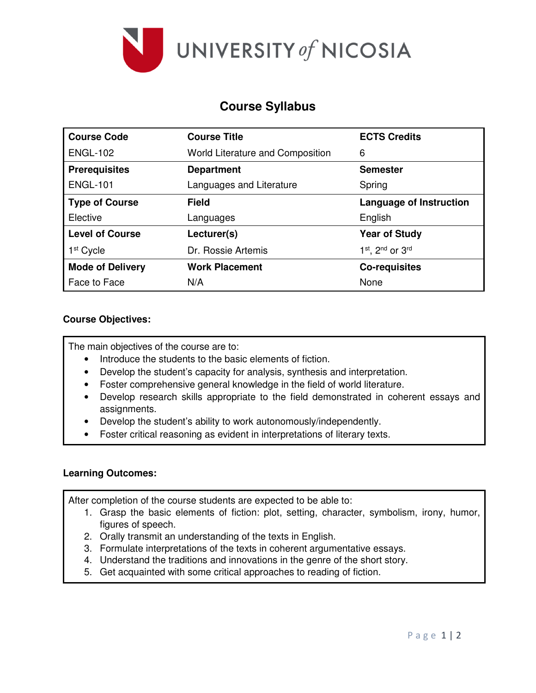

# **Course Syllabus**

| <b>Course Code</b>      | <b>Course Title</b>              | <b>ECTS Credits</b>            |
|-------------------------|----------------------------------|--------------------------------|
| <b>ENGL-102</b>         | World Literature and Composition | 6                              |
| <b>Prerequisites</b>    | <b>Department</b>                | <b>Semester</b>                |
| <b>ENGL-101</b>         | Languages and Literature         | Spring                         |
| <b>Type of Course</b>   | <b>Field</b>                     | <b>Language of Instruction</b> |
| Elective                | Languages                        | English                        |
| <b>Level of Course</b>  | Lecturer(s)                      | <b>Year of Study</b>           |
| 1 <sup>st</sup> Cycle   | Dr. Rossie Artemis               | 1st, 2nd or 3rd                |
| <b>Mode of Delivery</b> | <b>Work Placement</b>            | <b>Co-requisites</b>           |
| Face to Face            | N/A                              | None                           |

## **Course Objectives:**

The main objectives of the course are to:

- Introduce the students to the basic elements of fiction.
- Develop the student's capacity for analysis, synthesis and interpretation.
- Foster comprehensive general knowledge in the field of world literature.
- Develop research skills appropriate to the field demonstrated in coherent essays and assignments.
- Develop the student's ability to work autonomously/independently.
- Foster critical reasoning as evident in interpretations of literary texts.

# **Learning Outcomes:**

After completion of the course students are expected to be able to:

- 1. Grasp the basic elements of fiction: plot, setting, character, symbolism, irony, humor, figures of speech.
- 2. Orally transmit an understanding of the texts in English.
- 3. Formulate interpretations of the texts in coherent argumentative essays.
- 4. Understand the traditions and innovations in the genre of the short story.
- 5. Get acquainted with some critical approaches to reading of fiction.